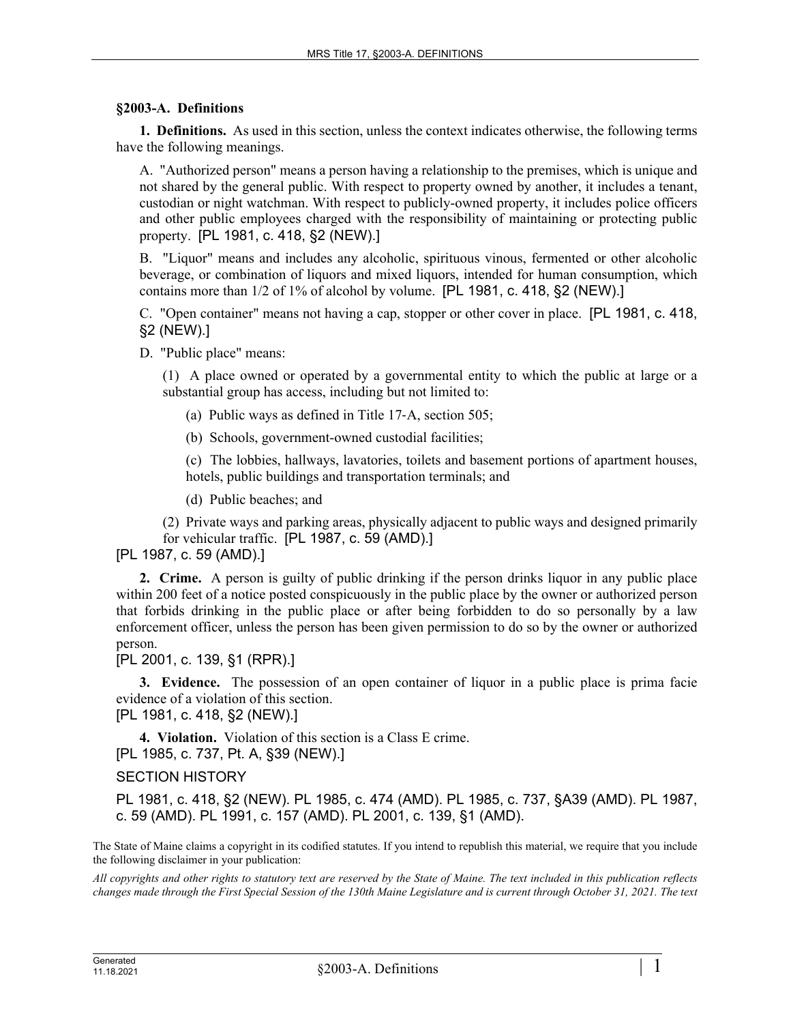## **§2003-A. Definitions**

**1. Definitions.** As used in this section, unless the context indicates otherwise, the following terms have the following meanings.

A. "Authorized person" means a person having a relationship to the premises, which is unique and not shared by the general public. With respect to property owned by another, it includes a tenant, custodian or night watchman. With respect to publicly-owned property, it includes police officers and other public employees charged with the responsibility of maintaining or protecting public property. [PL 1981, c. 418, §2 (NEW).]

B. "Liquor" means and includes any alcoholic, spirituous vinous, fermented or other alcoholic beverage, or combination of liquors and mixed liquors, intended for human consumption, which contains more than 1/2 of 1% of alcohol by volume. [PL 1981, c. 418, §2 (NEW).]

C. "Open container" means not having a cap, stopper or other cover in place. [PL 1981, c. 418, §2 (NEW).]

D. "Public place" means:

(1) A place owned or operated by a governmental entity to which the public at large or a substantial group has access, including but not limited to:

(a) Public ways as defined in Title 17‑A, section 505;

(b) Schools, government-owned custodial facilities;

(c) The lobbies, hallways, lavatories, toilets and basement portions of apartment houses, hotels, public buildings and transportation terminals; and

(d) Public beaches; and

(2) Private ways and parking areas, physically adjacent to public ways and designed primarily for vehicular traffic. [PL 1987, c. 59 (AMD).]

[PL 1987, c. 59 (AMD).]

**2. Crime.** A person is guilty of public drinking if the person drinks liquor in any public place within 200 feet of a notice posted conspicuously in the public place by the owner or authorized person that forbids drinking in the public place or after being forbidden to do so personally by a law enforcement officer, unless the person has been given permission to do so by the owner or authorized person.

[PL 2001, c. 139, §1 (RPR).]

**3. Evidence.** The possession of an open container of liquor in a public place is prima facie evidence of a violation of this section.

[PL 1981, c. 418, §2 (NEW).]

**4. Violation.** Violation of this section is a Class E crime. [PL 1985, c. 737, Pt. A, §39 (NEW).]

SECTION HISTORY

PL 1981, c. 418, §2 (NEW). PL 1985, c. 474 (AMD). PL 1985, c. 737, §A39 (AMD). PL 1987, c. 59 (AMD). PL 1991, c. 157 (AMD). PL 2001, c. 139, §1 (AMD).

The State of Maine claims a copyright in its codified statutes. If you intend to republish this material, we require that you include the following disclaimer in your publication:

*All copyrights and other rights to statutory text are reserved by the State of Maine. The text included in this publication reflects changes made through the First Special Session of the 130th Maine Legislature and is current through October 31, 2021. The text*